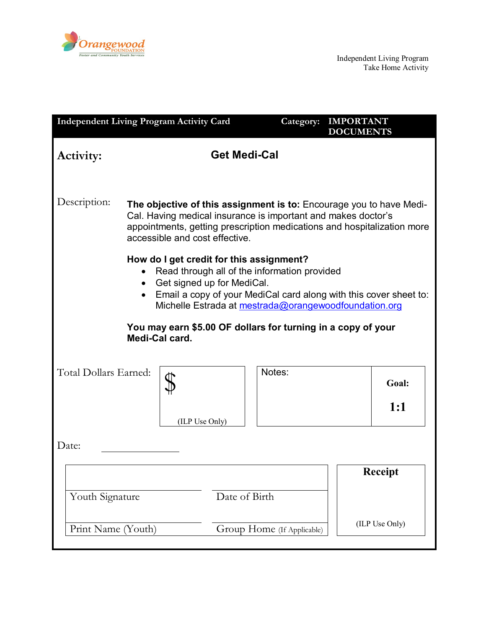

| <b>Independent Living Program Activity Card</b>                                                                                                                                                                                                                   |                     |  | Category: | <b>IMPORTANT</b><br><b>DOCUMENTS</b> |                |  |
|-------------------------------------------------------------------------------------------------------------------------------------------------------------------------------------------------------------------------------------------------------------------|---------------------|--|-----------|--------------------------------------|----------------|--|
| <b>Activity:</b>                                                                                                                                                                                                                                                  | <b>Get Medi-Cal</b> |  |           |                                      |                |  |
| Description:<br>The objective of this assignment is to: Encourage you to have Medi-<br>Cal. Having medical insurance is important and makes doctor's<br>appointments, getting prescription medications and hospitalization more<br>accessible and cost effective. |                     |  |           |                                      |                |  |
| How do I get credit for this assignment?<br>Read through all of the information provided<br>Get signed up for MediCal.<br>$\bullet$<br>Email a copy of your MediCal card along with this cover sheet to:<br>Michelle Estrada at mestrada@orangewoodfoundation.org |                     |  |           |                                      |                |  |
| You may earn \$5.00 OF dollars for turning in a copy of your<br>Medi-Cal card.                                                                                                                                                                                    |                     |  |           |                                      |                |  |
| Total Dollars Earned:<br>(ILP Use Only)                                                                                                                                                                                                                           |                     |  | Notes:    |                                      | Goal:<br>1:1   |  |
| Date:                                                                                                                                                                                                                                                             |                     |  |           |                                      |                |  |
| Date of Birth<br>Youth Signature                                                                                                                                                                                                                                  |                     |  |           |                                      | <b>Receipt</b> |  |
| Print Name (Youth)<br>Group Home (If Applicable)                                                                                                                                                                                                                  |                     |  |           |                                      | (ILP Use Only) |  |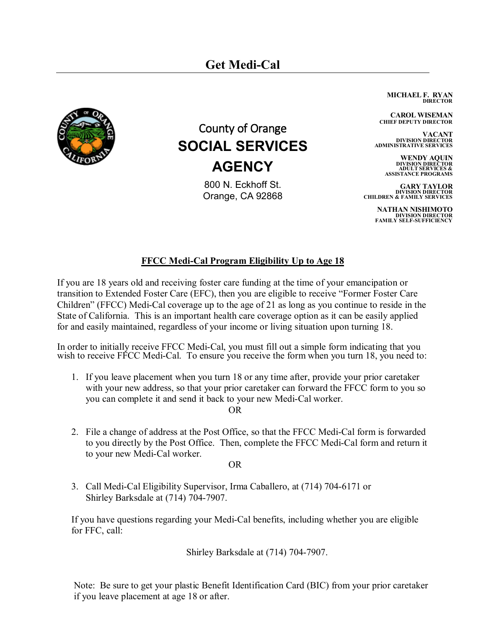

## County of Orange **SOCIAL SERVICES AGENCY**

800 N. Eckhoff St. Orange, CA 92868 **MICHAEL F. RYAN DIRECTOR**

**CAROL WISEMAN CHIEF DEPUTY DIRECTOR**

**VACANT DIVISION DIRECTOR ADMINISTRATIVE SERVICES** 

> **WENDY AQUIN DIVISION DIRECTOR ADULT SERVICES & ASSISTANCE PROGRAMS**

**GARY TAYLOR DIVISION DIRECTOR CHILDREN & FAMILY SERVICES**

> **NATHAN NISHIMOTO DIVISION DIRECTOR FAMILY SELF-SUFFICIENCY**

## **FFCC Medi-Cal Program Eligibility Up to Age 18**

If you are 18 years old and receiving foster care funding at the time of your emancipation or transition to Extended Foster Care (EFC), then you are eligible to receive "Former Foster Care Children" (FFCC) Medi-Cal coverage up to the age of 21 as long as you continue to reside in the State of California. This is an important health care coverage option as it can be easily applied for and easily maintained, regardless of your income or living situation upon turning 18.

In order to initially receive FFCC Medi-Cal, you must fill out a simple form indicating that you wish to receive FFCC Medi-Cal. To ensure you receive the form when you turn 18, you need to:

- 1. If you leave placement when you turn 18 or any time after, provide your prior caretaker with your new address, so that your prior caretaker can forward the FFCC form to you so you can complete it and send it back to your new Medi-Cal worker. OR
- 2. File a change of address at the Post Office, so that the FFCC Medi-Cal form is forwarded to you directly by the Post Office. Then, complete the FFCC Medi-Cal form and return it to your new Medi-Cal worker.

OR

3. Call Medi-Cal Eligibility Supervisor, Irma Caballero, at (714) 704-6171 or Shirley Barksdale at (714) 704-7907.

If you have questions regarding your Medi-Cal benefits, including whether you are eligible for FFC, call:

Shirley Barksdale at (714) 704-7907.

Note: Be sure to get your plastic Benefit Identification Card (BIC) from your prior caretaker if you leave placement at age 18 or after.